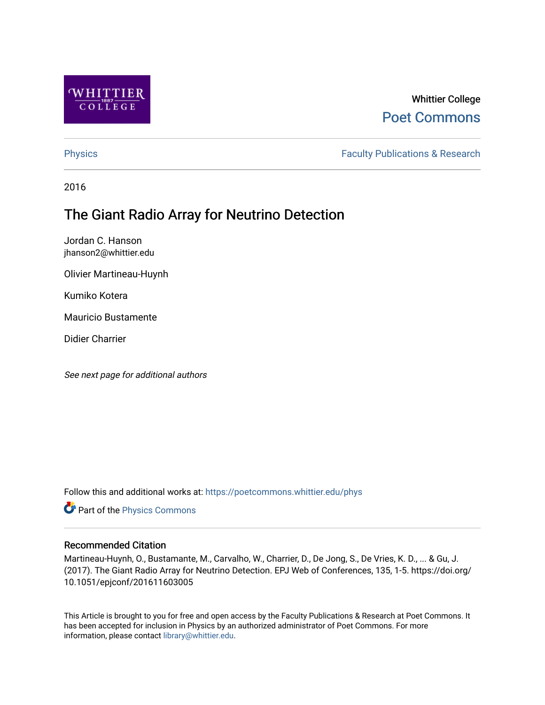

## Whittier College [Poet Commons](https://poetcommons.whittier.edu/)

[Physics](https://poetcommons.whittier.edu/phys) **Faculty Publications & Research Physics Faculty Publications & Research** 

2016

# The Giant Radio Array for Neutrino Detection

Jordan C. Hanson jhanson2@whittier.edu

Olivier Martineau-Huynh

Kumiko Kotera

Mauricio Bustamente

Didier Charrier

See next page for additional authors

Follow this and additional works at: [https://poetcommons.whittier.edu/phys](https://poetcommons.whittier.edu/phys?utm_source=poetcommons.whittier.edu%2Fphys%2F7&utm_medium=PDF&utm_campaign=PDFCoverPages)

**P** Part of the [Physics Commons](http://network.bepress.com/hgg/discipline/193?utm_source=poetcommons.whittier.edu%2Fphys%2F7&utm_medium=PDF&utm_campaign=PDFCoverPages)

### Recommended Citation

Martineau-Huynh, O., Bustamante, M., Carvalho, W., Charrier, D., De Jong, S., De Vries, K. D., ... & Gu, J. (2017). The Giant Radio Array for Neutrino Detection. EPJ Web of Conferences, 135, 1-5. https://doi.org/ 10.1051/epjconf/201611603005

This Article is brought to you for free and open access by the Faculty Publications & Research at Poet Commons. It has been accepted for inclusion in Physics by an authorized administrator of Poet Commons. For more information, please contact [library@whittier.edu.](mailto:library@whittier.edu)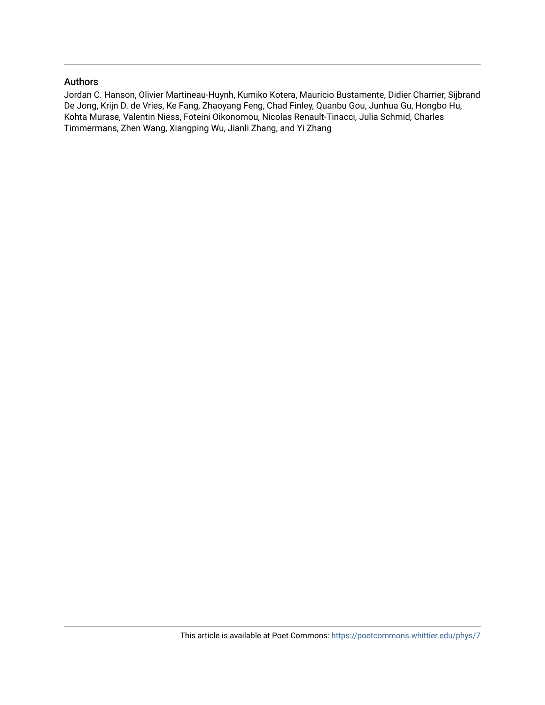#### Authors

Jordan C. Hanson, Olivier Martineau-Huynh, Kumiko Kotera, Mauricio Bustamente, Didier Charrier, Sijbrand De Jong, Krijn D. de Vries, Ke Fang, Zhaoyang Feng, Chad Finley, Quanbu Gou, Junhua Gu, Hongbo Hu, Kohta Murase, Valentin Niess, Foteini Oikonomou, Nicolas Renault-Tinacci, Julia Schmid, Charles Timmermans, Zhen Wang, Xiangping Wu, Jianli Zhang, and Yi Zhang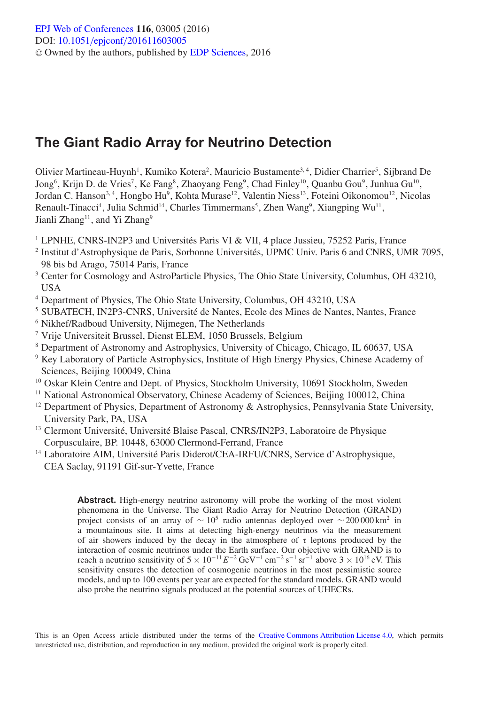## **The Giant Radio Array for Neutrino Detection**

Olivier Martineau-Huynh<sup>1</sup>, Kumiko Kotera<sup>2</sup>, Mauricio Bustamente<sup>3, 4</sup>, Didier Charrier<sup>5</sup>, Sijbrand De Jong<sup>6</sup>, Krijn D. de Vries<sup>7</sup>, Ke Fang<sup>8</sup>, Zhaoyang Feng<sup>9</sup>, Chad Finley<sup>10</sup>, Quanbu Gou<sup>9</sup>, Junhua Gu<sup>10</sup>, Jordan C. Hanson<sup>3, 4</sup>, Hongbo Hu<sup>9</sup>, Kohta Murase<sup>12</sup>, Valentin Niess<sup>13</sup>, Foteini Oikonomou<sup>12</sup>, Nicolas Renault-Tinacci<sup>4</sup>, Julia Schmid<sup>14</sup>, Charles Timmermans<sup>5</sup>, Zhen Wang<sup>9</sup>, Xiangping Wu<sup>11</sup>, Jianli Zhang<sup>11</sup>, and Yi Zhang<sup>9</sup>

- <sup>1</sup> LPNHE, CNRS-IN2P3 and Universités Paris VI & VII, 4 place Jussieu, 75252 Paris, France
- <sup>2</sup> Institut d'Astrophysique de Paris, Sorbonne Universités, UPMC Univ. Paris 6 and CNRS, UMR 7095, 98 bis bd Arago, 75014 Paris, France
- <sup>3</sup> Center for Cosmology and AstroParticle Physics, The Ohio State University, Columbus, OH 43210, USA
- <sup>4</sup> Department of Physics, The Ohio State University, Columbus, OH 43210, USA
- <sup>5</sup> SUBATECH, IN2P3-CNRS, Université de Nantes, Ecole des Mines de Nantes, Nantes, France
- <sup>6</sup> Nikhef/Radboud University, Nijmegen, The Netherlands
- <sup>7</sup> Vrije Universiteit Brussel, Dienst ELEM, 1050 Brussels, Belgium
- <sup>8</sup> Department of Astronomy and Astrophysics, University of Chicago, Chicago, IL 60637, USA
- <sup>9</sup> Key Laboratory of Particle Astrophysics, Institute of High Energy Physics, Chinese Academy of Sciences, Beijing 100049, China
- <sup>10</sup> Oskar Klein Centre and Dept. of Physics, Stockholm University, 10691 Stockholm, Sweden
- <sup>11</sup> National Astronomical Observatory, Chinese Academy of Sciences, Beijing 100012, China
- $12$  Department of Physics, Department of Astronomy & Astrophysics, Pennsylvania State University, University Park, PA, USA
- <sup>13</sup> Clermont Université, Université Blaise Pascal, CNRS/IN2P3, Laboratoire de Physique Corpusculaire, BP. 10448, 63000 Clermond-Ferrand, France
- <sup>14</sup> Laboratoire AIM, Université Paris Diderot/CEA-IRFU/CNRS, Service d'Astrophysique, CEA Saclay, 91191 Gif-sur-Yvette, France

**Abstract.** High-energy neutrino astronomy will probe the working of the most violent phenomena in the Universe. The Giant Radio Array for Neutrino Detection (GRAND) project consists of an array of  $\sim 10^5$  radio antennas deployed over  $\sim 200\,000 \text{ km}^2$  in a mountainous site. It aims at detecting high-energy neutrinos via the measurement of air showers induced by the decay in the atmosphere of  $\tau$  leptons produced by the interaction of cosmic neutrinos under the Earth surface. Our objective with GRAND is to reach a neutrino sensitivity of  $5 \times 10^{-11} E^{-2} \text{ GeV}^{-1} \text{ cm}^{-2} \text{ s}^{-1} \text{ sr}^{-1}$  above  $3 \times 10^{16} \text{ eV}$ . This sensitivity ensures the detection of cosmogenic neutrinos in the most pessimistic source models, and up to 100 events per year are expected for the standard models. GRAND would also probe the neutrino signals produced at the potential sources of UHECRs.

This is an Open Access article distributed under the terms of the [Creative Commons Attribution License 4.0,](http://creativecommons.org/licenses/by/4.0/) which permits unrestricted use, distribution, and reproduction in any medium, provided the original work is properly cited.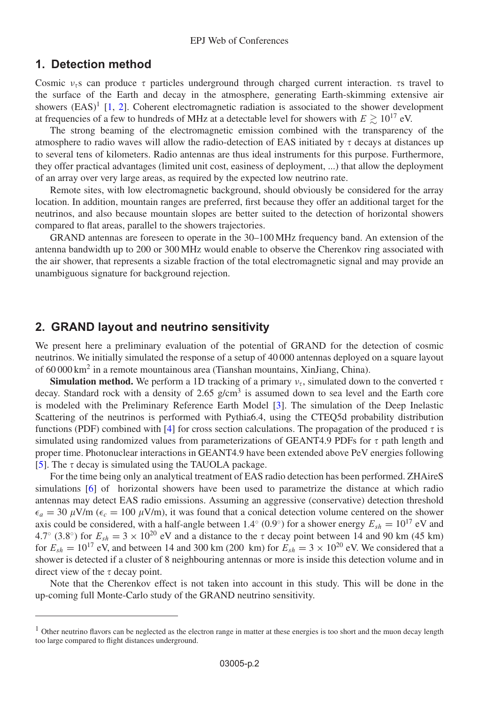#### **1. Detection method**

Cosmic  $v_{\tau}$ s can produce  $\tau$  particles underground through charged current interaction.  $\tau$ s travel to the surface of the Earth and decay in the atmosphere, generating Earth-skimming extensive air showers  $(EAS)^1$  [\[1](#page-5-0), [2](#page-5-1)]. Coherent electromagnetic radiation is associated to the shower development at frequencies of a few to hundreds of MHz at a detectable level for showers with  $E \gtrsim 10^{17}$  eV.

The strong beaming of the electromagnetic emission combined with the transparency of the atmosphere to radio waves will allow the radio-detection of EAS initiated by  $\tau$  decays at distances up to several tens of kilometers. Radio antennas are thus ideal instruments for this purpose. Furthermore, they offer practical advantages (limited unit cost, easiness of deployment, ...) that allow the deployment of an array over very large areas, as required by the expected low neutrino rate.

Remote sites, with low electromagnetic background, should obviously be considered for the array location. In addition, mountain ranges are preferred, first because they offer an additional target for the neutrinos, and also because mountain slopes are better suited to the detection of horizontal showers compared to flat areas, parallel to the showers trajectories.

GRAND antennas are foreseen to operate in the 30–100 MHz frequency band. An extension of the antenna bandwidth up to 200 or 300 MHz would enable to observe the Cherenkov ring associated with the air shower, that represents a sizable fraction of the total electromagnetic signal and may provide an unambiguous signature for background rejection.

#### **2. GRAND layout and neutrino sensitivity**

We present here a preliminary evaluation of the potential of GRAND for the detection of cosmic neutrinos. We initially simulated the response of a setup of 40 000 antennas deployed on a square layout of 60 000 km2 in a remote mountainous area (Tianshan mountains, XinJiang, China).

**Simulation method.** We perform a 1D tracking of a primary  $v_r$ , simulated down to the converted  $\tau$ decay. Standard rock with a density of  $2.65$  g/cm<sup>3</sup> is assumed down to sea level and the Earth core is modeled with the Preliminary Reference Earth Model [\[3\]](#page-5-2). The simulation of the Deep Inelastic Scattering of the neutrinos is performed with Pythia6.4, using the CTEQ5d probability distribution functions (PDF) combined with [\[4](#page-5-3)] for cross section calculations. The propagation of the produced  $\tau$  is simulated using randomized values from parameterizations of GEANT4.9 PDFs for  $\tau$  path length and proper time. Photonuclear interactions in GEANT4.9 have been extended above PeV energies following [\[5\]](#page-5-4). The  $\tau$  decay is simulated using the TAUOLA package.

For the time being only an analytical treatment of EAS radio detection has been performed. ZHAireS simulations [\[6](#page-5-5)] of horizontal showers have been used to parametrize the distance at which radio antennas may detect EAS radio emissions. Assuming an aggressive (conservative) detection threshold  $\epsilon_a = 30 \mu\text{V/m}$  ( $\epsilon_c = 100 \mu\text{V/m}$ ), it was found that a conical detection volume centered on the shower axis could be considered, with a half-angle between 1.4<sup>°</sup> (0.9<sup>°</sup>) for a shower energy  $E_{sh} = 10^{17}$  eV and 4.7° (3.8°) for  $E_{sh} = 3 \times 10^{20}$  eV and a distance to the  $\tau$  decay point between 14 and 90 km (45 km) for  $E_{sh} = 10^{17}$  eV, and between 14 and 300 km (200 km) for  $E_{sh} = 3 \times 10^{20}$  eV. We considered that a shower is detected if a cluster of 8 neighbouring antennas or more is inside this detection volume and in direct view of the  $\tau$  decay point.

Note that the Cherenkov effect is not taken into account in this study. This will be done in the up-coming full Monte-Carlo study of the GRAND neutrino sensitivity.

 $<sup>1</sup>$  Other neutrino flavors can be neglected as the electron range in matter at these energies is too short and the muon decay length</sup> too large compared to flight distances underground.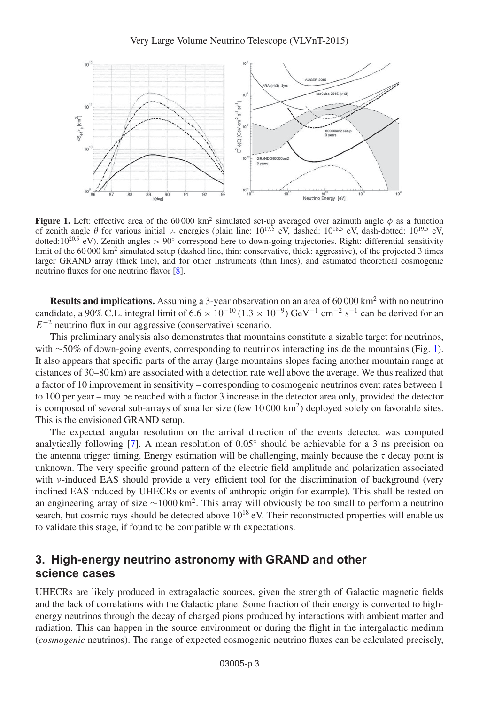<span id="page-4-0"></span>

**Figure 1.** Left: effective area of the 60 000 km<sup>2</sup> simulated set-up averaged over azimuth angle  $\phi$  as a function of zenith angle  $\theta$  for various initial  $v_{\tau}$  energies (plain line:  $10^{17.5}$  eV, dashed:  $10^{18.5}$  eV, dash-dotted:  $10^{19.5}$  eV, dotted:10<sup>20.5</sup> eV). Zenith angles > 90° correspond here to down-going trajectories. Right: differential sensitivity limit of the  $60\,000\ \text{km}^2$  simulated setup (dashed line, thin: conservative, thick: aggressive), of the projected 3 times larger GRAND array (thick line), and for other instruments (thin lines), and estimated theoretical cosmogenic neutrino fluxes for one neutrino flavor [\[8](#page-5-6)].

**Results and implications.** Assuming a 3-year observation on an area of 60 000 km<sup>2</sup> with no neutrino candidate, a 90% C.L. integral limit of  $6.6 \times 10^{-10}$  ( $1.3 \times 10^{-9}$ ) GeV<sup>-1</sup> cm<sup>-2</sup> s<sup>-1</sup> can be derived for an  $E^{-2}$  neutrino flux in our aggressive (conservative) scenario.

This preliminary analysis also demonstrates that mountains constitute a sizable target for neutrinos, with ∼50% of down-going events, corresponding to neutrinos interacting inside the mountains (Fig. [1\)](#page-4-0). It also appears that specific parts of the array (large mountains slopes facing another mountain range at distances of 30–80 km) are associated with a detection rate well above the average. We thus realized that a factor of 10 improvement in sensitivity – corresponding to cosmogenic neutrinos event rates between 1 to 100 per year – may be reached with a factor 3 increase in the detector area only, provided the detector is composed of several sub-arrays of smaller size (few 10 000 km<sup>2</sup>) deployed solely on favorable sites. This is the envisioned GRAND setup.

The expected angular resolution on the arrival direction of the events detected was computed analytically following [\[7](#page-5-7)]. A mean resolution of  $0.05°$  should be achievable for a 3 ns precision on the antenna trigger timing. Energy estimation will be challenging, mainly because the  $\tau$  decay point is unknown. The very specific ground pattern of the electric field amplitude and polarization associated with ν-induced EAS should provide a very efficient tool for the discrimination of background (very inclined EAS induced by UHECRs or events of anthropic origin for example). This shall be tested on an engineering array of size  $\sim 1000 \text{ km}^2$ . This array will obviously be too small to perform a neutrino search, but cosmic rays should be detected above  $10^{18}$  eV. Their reconstructed properties will enable us to validate this stage, if found to be compatible with expectations.

## **3. High-energy neutrino astronomy with GRAND and other science cases**

UHECRs are likely produced in extragalactic sources, given the strength of Galactic magnetic fields and the lack of correlations with the Galactic plane. Some fraction of their energy is converted to highenergy neutrinos through the decay of charged pions produced by interactions with ambient matter and radiation. This can happen in the source environment or during the flight in the intergalactic medium (*cosmogenic* neutrinos). The range of expected cosmogenic neutrino fluxes can be calculated precisely,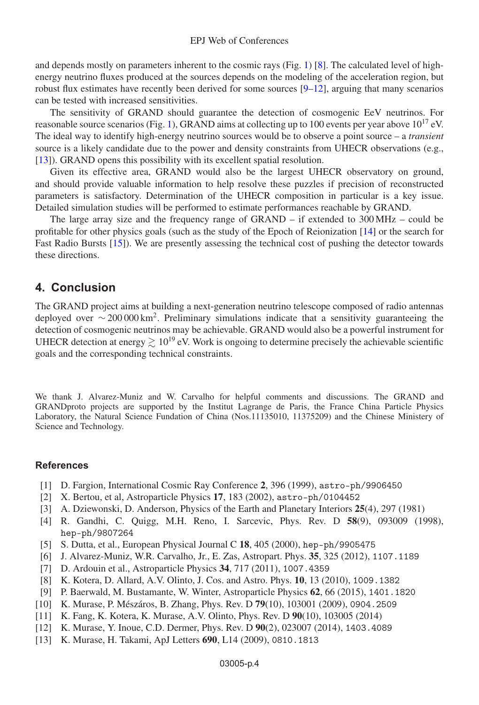and depends mostly on parameters inherent to the cosmic rays (Fig. [1\)](#page-4-0) [\[8\]](#page-5-6). The calculated level of highenergy neutrino fluxes produced at the sources depends on the modeling of the acceleration region, but robust flux estimates have recently been derived for some sources  $[9-12]$  $[9-12]$ , arguing that many scenarios can be tested with increased sensitivities.

The sensitivity of GRAND should guarantee the detection of cosmogenic EeV neutrinos. For reasonable source scenarios (Fig. [1\)](#page-4-0), GRAND aims at collecting up to 100 events per year above  $10^{17}$  eV. The ideal way to identify high-energy neutrino sources would be to observe a point source – a *transient* source is a likely candidate due to the power and density constraints from UHECR observations (e.g., [\[13\]](#page-5-10)). GRAND opens this possibility with its excellent spatial resolution.

Given its effective area, GRAND would also be the largest UHECR observatory on ground, and should provide valuable information to help resolve these puzzles if precision of reconstructed parameters is satisfactory. Determination of the UHECR composition in particular is a key issue. Detailed simulation studies will be performed to estimate performances reachable by GRAND.

The large array size and the frequency range of GRAND – if extended to 300 MHz – could be profitable for other physics goals (such as the study of the Epoch of Reionization [\[14](#page-6-0)] or the search for Fast Radio Bursts [\[15](#page-6-1)]). We are presently assessing the technical cost of pushing the detector towards these directions.

#### **4. Conclusion**

The GRAND project aims at building a next-generation neutrino telescope composed of radio antennas deployed over  $\sim 200\,000 \, \text{km}^2$ . Preliminary simulations indicate that a sensitivity guaranteeing the detection of cosmogenic neutrinos may be achievable. GRAND would also be a powerful instrument for UHECR detection at energy  $\geq 10^{19}$  eV. Work is ongoing to determine precisely the achievable scientific goals and the corresponding technical constraints.

We thank J. Alvarez-Muniz and W. Carvalho for helpful comments and discussions. The GRAND and GRANDproto projects are supported by the Institut Lagrange de Paris, the France China Particle Physics Laboratory, the Natural Science Fundation of China (Nos.11135010, 11375209) and the Chinese Ministery of Science and Technology.

#### <span id="page-5-0"></span>**References**

- [1] D. Fargion, International Cosmic Ray Conference **2**, 396 (1999), astro-ph/9906450
- [2] X. Bertou, et al, Astroparticle Physics **17**, 183 (2002), astro-ph/0104452
- <span id="page-5-3"></span><span id="page-5-2"></span><span id="page-5-1"></span>[3] A. Dziewonski, D. Anderson, Physics of the Earth and Planetary Interiors **25**(4), 297 (1981)
- [4] R. Gandhi, C. Quigg, M.H. Reno, I. Sarcevic, Phys. Rev. D **58**(9), 093009 (1998), hep-ph/9807264
- [5] S. Dutta, et al., European Physical Journal C **18**, 405 (2000), hep-ph/9905475
- <span id="page-5-7"></span><span id="page-5-5"></span><span id="page-5-4"></span>[6] J. Alvarez-Muniz, W.R. Carvalho, Jr., E. Zas, Astropart. Phys. **35**, 325 (2012), 1107.1189
- [7] D. Ardouin et al., Astroparticle Physics **34**, 717 (2011), 1007.4359
- <span id="page-5-6"></span>[8] K. Kotera, D. Allard, A.V. Olinto, J. Cos. and Astro. Phys. **10**, 13 (2010), 1009.1382
- [9] P. Baerwald, M. Bustamante, W. Winter, Astroparticle Physics **62**, 66 (2015), 1401.1820
- <span id="page-5-8"></span>[10] K. Murase, P. Mészáros, B. Zhang, Phys. Rev. D **79**(10), 103001 (2009), 0904.2509
- [11] K. Fang, K. Kotera, K. Murase, A.V. Olinto, Phys. Rev. D **90**(10), 103005 (2014)
- <span id="page-5-9"></span>[12] K. Murase, Y. Inoue, C.D. Dermer, Phys. Rev. D **90**(2), 023007 (2014), 1403.4089
- <span id="page-5-10"></span>[13] K. Murase, H. Takami, ApJ Letters **690**, L14 (2009), 0810.1813